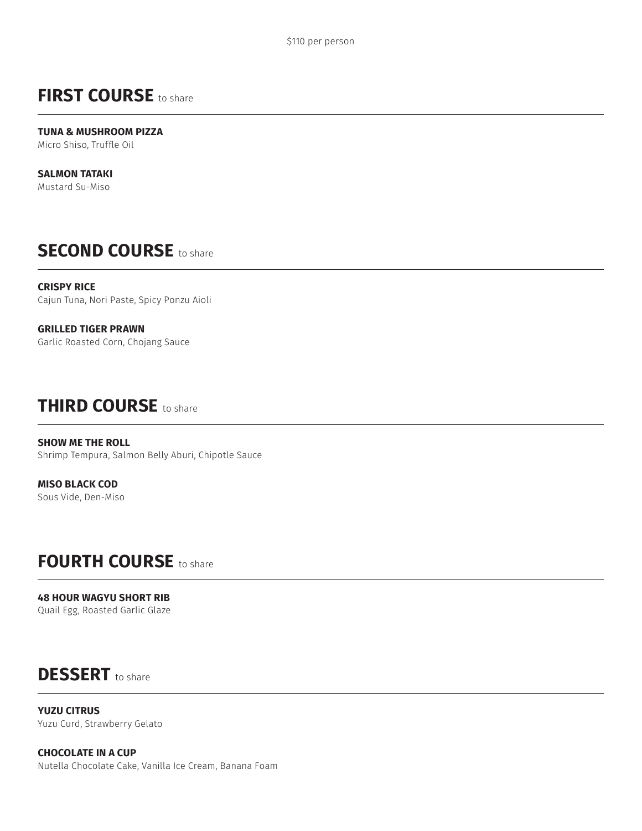## **FIRST COURSE** to share

**TUNA & MUSHROOM PIZZA** Micro Shiso, Truffle Oil

**SALMON TATAKI** Mustard Su-Miso

## **SECOND COURSE** to share

**CRISPY RICE** Cajun Tuna, Nori Paste, Spicy Ponzu Aioli

**GRILLED TIGER PRAWN** Garlic Roasted Corn, Chojang Sauce

## **THIRD COURSE** to share

**SHOW ME THE ROLL** Shrimp Tempura, Salmon Belly Aburi, Chipotle Sauce

**MISO BLACK COD** Sous Vide, Den-Miso

## **FOURTH COURSE** to share

**48 HOUR WAGYU SHORT RIB** Quail Egg, Roasted Garlic Glaze

# **DESSERT** to share

**YUZU CITRUS** Yuzu Curd, Strawberry Gelato

**CHOCOLATE IN A CUP** Nutella Chocolate Cake, Vanilla Ice Cream, Banana Foam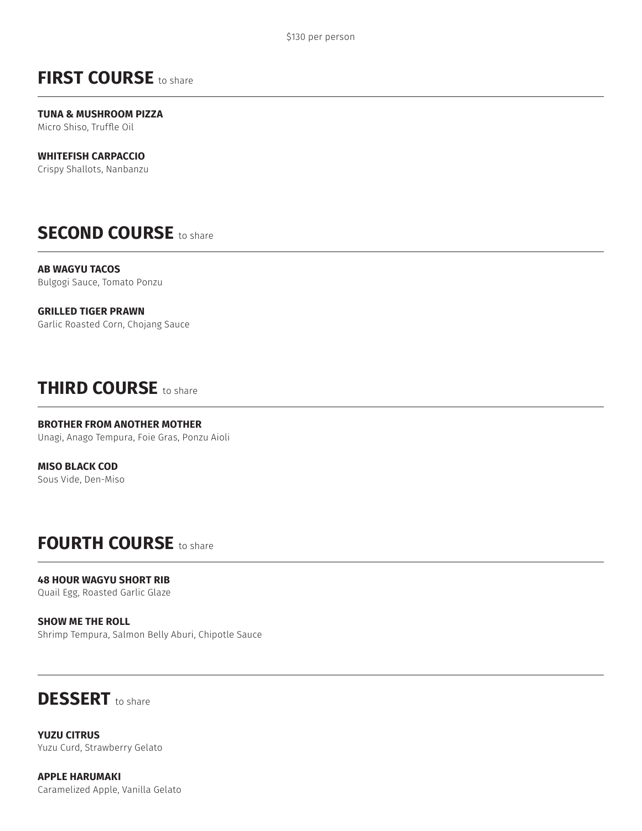## **FIRST COURSE** to share

**TUNA & MUSHROOM PIZZA** Micro Shiso, Truffle Oil

#### **WHITEFISH CARPACCIO**

Crispy Shallots, Nanbanzu

### **SECOND COURSE** to share

**AB WAGYU TACOS** Bulgogi Sauce, Tomato Ponzu

#### **GRILLED TIGER PRAWN**

Garlic Roasted Corn, Chojang Sauce

#### **THIRD COURSE** to share

#### **BROTHER FROM ANOTHER MOTHER**

Unagi, Anago Tempura, Foie Gras, Ponzu Aioli

**MISO BLACK COD** Sous Vide, Den-Miso

#### **FOURTH COURSE** to share

**48 HOUR WAGYU SHORT RIB** Quail Egg, Roasted Garlic Glaze

**SHOW ME THE ROLL** Shrimp Tempura, Salmon Belly Aburi, Chipotle Sauce

## **DESSERT** to share

**YUZU CITRUS** Yuzu Curd, Strawberry Gelato

**APPLE HARUMAKI** Caramelized Apple, Vanilla Gelato